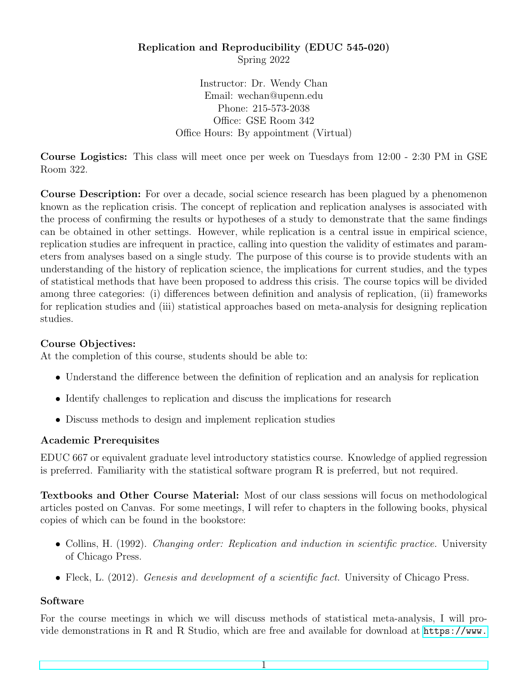# Replication and Reproducibility (EDUC 545-020) Spring 2022

Instructor: Dr. Wendy Chan Email: wechan@upenn.edu Phone: 215-573-2038 Office: GSE Room 342 Office Hours: By appointment (Virtual)

Course Logistics: This class will meet once per week on Tuesdays from 12:00 - 2:30 PM in GSE Room 322.

Course Description: For over a decade, social science research has been plagued by a phenomenon known as the replication crisis. The concept of replication and replication analyses is associated with the process of confirming the results or hypotheses of a study to demonstrate that the same findings can be obtained in other settings. However, while replication is a central issue in empirical science, replication studies are infrequent in practice, calling into question the validity of estimates and parameters from analyses based on a single study. The purpose of this course is to provide students with an understanding of the history of replication science, the implications for current studies, and the types of statistical methods that have been proposed to address this crisis. The course topics will be divided among three categories: (i) differences between definition and analysis of replication, (ii) frameworks for replication studies and (iii) statistical approaches based on meta-analysis for designing replication studies.

## Course Objectives:

At the completion of this course, students should be able to:

- Understand the difference between the definition of replication and an analysis for replication
- Identify challenges to replication and discuss the implications for research
- Discuss methods to design and implement replication studies

## Academic Prerequisites

EDUC 667 or equivalent graduate level introductory statistics course. Knowledge of applied regression is preferred. Familiarity with the statistical software program R is preferred, but not required.

Textbooks and Other Course Material: Most of our class sessions will focus on methodological articles posted on Canvas. For some meetings, I will refer to chapters in the following books, physical copies of which can be found in the bookstore:

- Collins, H. (1992). *Changing order: Replication and induction in scientific practice*. University of Chicago Press.
- Fleck, L. (2012). *Genesis and development of a scientific fact*. University of Chicago Press.

## Software

For the course meetings in which we will discuss methods of statistical meta-analysis, I will provide demonstrations in R and R Studio, which are free and available for download at [https://www.](https://www.r-project.org/)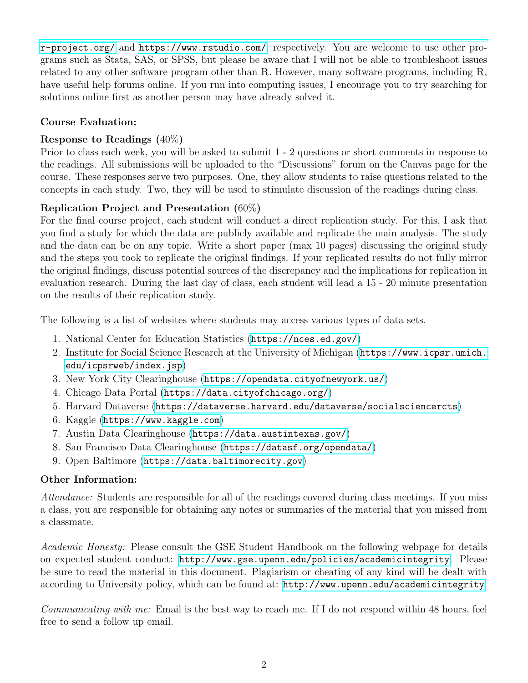[r-project.org/](https://www.r-project.org/) and <https://www.rstudio.com/>, respectively. You are welcome to use other programs such as Stata, SAS, or SPSS, but please be aware that I will not be able to troubleshoot issues related to any other software program other than R. However, many software programs, including R, have useful help forums online. If you run into computing issues, I encourage you to try searching for solutions online first as another person may have already solved it.

## Course Evaluation:

## Response to Readings (40%)

Prior to class each week, you will be asked to submit 1 - 2 questions or short comments in response to the readings. All submissions will be uploaded to the "Discussions" forum on the Canvas page for the course. These responses serve two purposes. One, they allow students to raise questions related to the concepts in each study. Two, they will be used to stimulate discussion of the readings during class.

# Replication Project and Presentation (60%)

For the final course project, each student will conduct a direct replication study. For this, I ask that you find a study for which the data are publicly available and replicate the main analysis. The study and the data can be on any topic. Write a short paper (max 10 pages) discussing the original study and the steps you took to replicate the original findings. If your replicated results do not fully mirror the original findings, discuss potential sources of the discrepancy and the implications for replication in evaluation research. During the last day of class, each student will lead a 15 - 20 minute presentation on the results of their replication study.

The following is a list of websites where students may access various types of data sets.

- 1. National Center for Education Statistics (<https://nces.ed.gov/>)
- 2. Institute for Social Science Research at the University of Michigan ([https://www.icpsr.umich.](https://www.icpsr.umich.edu/icpsrweb/index.jsp) [edu/icpsrweb/index.jsp](https://www.icpsr.umich.edu/icpsrweb/index.jsp))
- 3. New York City Clearinghouse (<https://opendata.cityofnewyork.us/>)
- 4. Chicago Data Portal (<https://data.cityofchicago.org/>)
- 5. Harvard Dataverse (<https://dataverse.harvard.edu/dataverse/socialsciencercts>)
- 6. Kaggle (<https://www.kaggle.com>)
- 7. Austin Data Clearinghouse (<https://data.austintexas.gov/>)
- 8. San Francisco Data Clearinghouse (<https://datasf.org/opendata/>)
- 9. Open Baltimore (<https://data.baltimorecity.gov>)

## Other Information:

Attendance: Students are responsible for all of the readings covered during class meetings. If you miss a class, you are responsible for obtaining any notes or summaries of the material that you missed from a classmate.

Academic Honesty: Please consult the GSE Student Handbook on the following webpage for details on expected student conduct: <http://www.gse.upenn.edu/policies/academicintegrity>. Please be sure to read the material in this document. Plagiarism or cheating of any kind will be dealt with according to University policy, which can be found at: <http://www.upenn.edu/academicintegrity>.

Communicating with me: Email is the best way to reach me. If I do not respond within 48 hours, feel free to send a follow up email.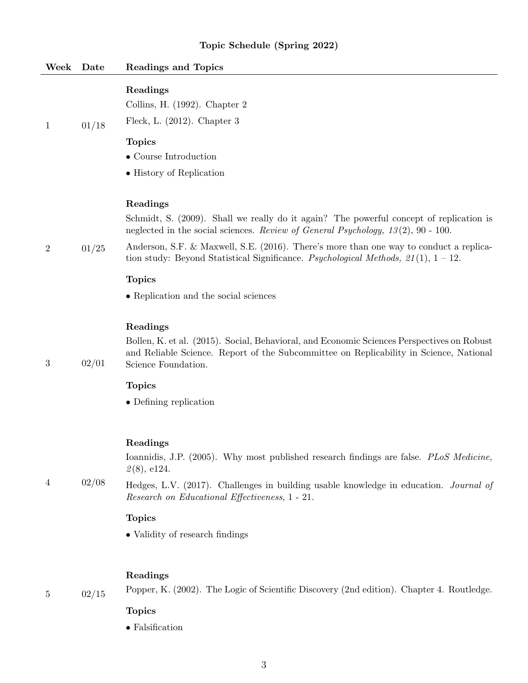| Week             | $\rm{\textbf{Date}}$ | <b>Readings and Topics</b>                                                                                                                                                                                                                                                                                                                                                                                                               |
|------------------|----------------------|------------------------------------------------------------------------------------------------------------------------------------------------------------------------------------------------------------------------------------------------------------------------------------------------------------------------------------------------------------------------------------------------------------------------------------------|
| $\mathbf{1}$     | 01/18                | Readings<br>Collins, H. (1992). Chapter 2<br>Fleck, L. $(2012)$ . Chapter 3<br><b>Topics</b><br>$\bullet$ Course Introduction<br>• History of Replication                                                                                                                                                                                                                                                                                |
| $\overline{2}$   | 01/25                | Readings<br>Schmidt, S. (2009). Shall we really do it again? The powerful concept of replication is<br>neglected in the social sciences. Review of General Psychology, $13(2)$ , 90 - 100.<br>Anderson, S.F. & Maxwell, S.E. (2016). There's more than one way to conduct a replica-<br>tion study: Beyond Statistical Significance. Psychological Methods, $21(1)$ , $1-12$ .<br><b>Topics</b><br>• Replication and the social sciences |
| $\boldsymbol{3}$ | 02/01                | Readings<br>Bollen, K. et al. (2015). Social, Behavioral, and Economic Sciences Perspectives on Robust<br>and Reliable Science. Report of the Subcommittee on Replicability in Science, National<br>Science Foundation.<br><b>Topics</b><br>$\bullet$ Defining replication                                                                                                                                                               |
| 4                | 02/08                | Readings<br>Ioannidis, J.P. (2005). Why most published research findings are false. <i>PLoS Medicine</i> ,<br>2(8), e124.<br>Hedges, L.V. (2017). Challenges in building usable knowledge in education. <i>Journal of</i><br>Research on Educational Effectiveness, 1 - 21.<br><b>Topics</b><br>• Validity of research findings                                                                                                          |

## Readings

5 02/15

Popper, K. (2002). The Logic of Scientific Discovery (2nd edition). Chapter 4. Routledge.

## Topics

 $\bullet$  Falsification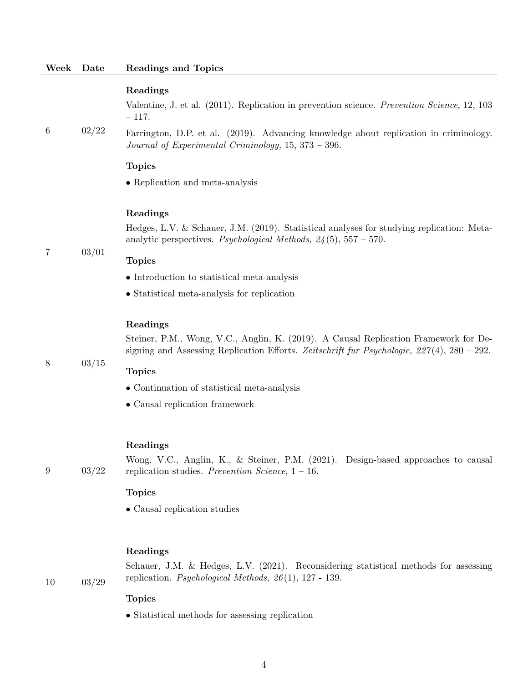Valentine, J. et al. (2011). Replication in prevention science. Prevention Science, 12, 103 – 117.

6 02/22 Farrington, D.P. et al. (2019). Advancing knowledge about replication in criminology. Journal of Experimental Criminology, 15, 373 – 396.

#### Topics

• Replication and meta-analysis

#### Readings

Hedges, L.V. & Schauer, J.M. (2019). Statistical analyses for studying replication: Metaanalytic perspectives. Psychological Methods,  $24(5)$ ,  $557 - 570$ .

7 03/01

### Topics

- Introduction to statistical meta-analysis
- Statistical meta-analysis for replication

### Readings

Steiner, P.M., Wong, V.C., Anglin, K. (2019). A Causal Replication Framework for Designing and Assessing Replication Efforts. Zeitschrift fur Psychologie,  $227(4)$ ,  $280 - 292$ .

8 03/15

9 03/22

#### Topics

- Continuation of statistical meta-analysis
- Causal replication framework

#### Readings

Wong, V.C., Anglin, K., & Steiner, P.M. (2021). Design-based approaches to causal replication studies. Prevention Science,  $1 - 16$ .

### Topics

• Causal replication studies

### Readings

10 03/29

Schauer, J.M. & Hedges, L.V. (2021). Reconsidering statistical methods for assessing replication. Psychological Methods, 26 (1), 127 - 139.

#### Topics

• Statistical methods for assessing replication